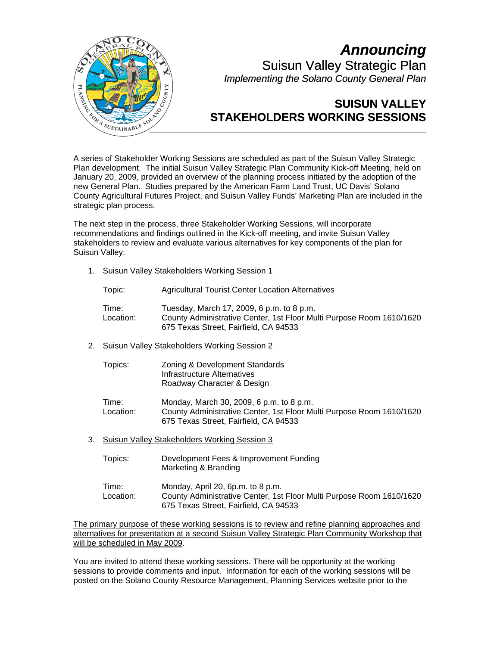

## *Announcing*  Suisun Valley Strategic Plan *Implementing the Solano County General Plan*

## **SUISUN VALLEY STAKEHOLDERS WORKING SESSIONS**

A series of Stakeholder Working Sessions are scheduled as part of the Suisun Valley Strategic Plan development. The initial Suisun Valley Strategic Plan Community Kick-off Meeting, held on January 20, 2009, provided an overview of the planning process initiated by the adoption of the new General Plan. Studies prepared by the American Farm Land Trust, UC Davis' Solano County Agricultural Futures Project, and Suisun Valley Funds' Marketing Plan are included in the strategic plan process.

The next step in the process, three Stakeholder Working Sessions, will incorporate recommendations and findings outlined in the Kick-off meeting, and invite Suisun Valley stakeholders to review and evaluate various alternatives for key components of the plan for Suisun Valley:

1. Suisun Valley Stakeholders Working Session 1

| Topic: | <b>Agricultural Tourist Center Location Alternatives</b> |
|--------|----------------------------------------------------------|
|--------|----------------------------------------------------------|

- Time: Tuesday, March 17, 2009, 6 p.m. to 8 p.m. Location: County Administrative Center, 1st Floor Multi Purpose Room 1610/1620 675 Texas Street, Fairfield, CA 94533
- 2. Suisun Valley Stakeholders Working Session 2

| Topics: | Zoning & Development Standards |
|---------|--------------------------------|
|         | Infrastructure Alternatives    |
|         | Roadway Character & Design     |

- Time: Monday, March 30, 2009, 6 p.m. to 8 p.m. Location: County Administrative Center, 1st Floor Multi Purpose Room 1610/1620 675 Texas Street, Fairfield, CA 94533
- 3. Suisun Valley Stakeholders Working Session 3

| Topics:            | Development Fees & Improvement Funding<br>Marketing & Branding                                                                                     |
|--------------------|----------------------------------------------------------------------------------------------------------------------------------------------------|
| Time:<br>Location: | Monday, April 20, 6p.m. to 8 p.m.<br>County Administrative Center, 1st Floor Multi Purpose Room 1610/1620<br>675 Texas Street, Fairfield, CA 94533 |

The primary purpose of these working sessions is to review and refine planning approaches and alternatives for presentation at a second Suisun Valley Strategic Plan Community Workshop that will be scheduled in May 2009.

You are invited to attend these working sessions. There will be opportunity at the working sessions to provide comments and input. Information for each of the working sessions will be posted on the Solano County Resource Management, Planning Services website prior to the